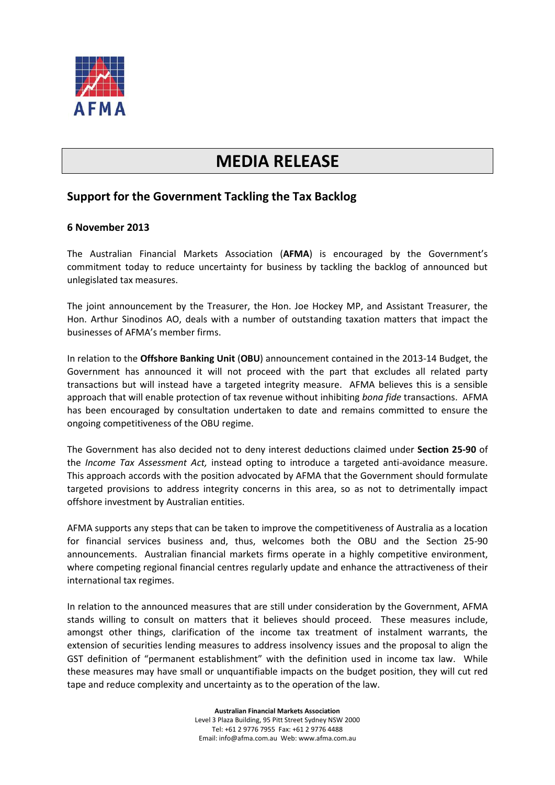

## **MEDIA RELEASE**

## **Support for the Government Tackling the Tax Backlog**

## **6 November 2013**

The Australian Financial Markets Association (**AFMA**) is encouraged by the Government's commitment today to reduce uncertainty for business by tackling the backlog of announced but unlegislated tax measures.

The joint announcement by the Treasurer, the Hon. Joe Hockey MP, and Assistant Treasurer, the Hon. Arthur Sinodinos AO, deals with a number of outstanding taxation matters that impact the businesses of AFMA's member firms.

In relation to the **Offshore Banking Unit** (**OBU**) announcement contained in the 2013-14 Budget, the Government has announced it will not proceed with the part that excludes all related party transactions but will instead have a targeted integrity measure. AFMA believes this is a sensible approach that will enable protection of tax revenue without inhibiting *bona fide* transactions. AFMA has been encouraged by consultation undertaken to date and remains committed to ensure the ongoing competitiveness of the OBU regime.

The Government has also decided not to deny interest deductions claimed under **Section 25-90** of the *Income Tax Assessment Act,* instead opting to introduce a targeted anti-avoidance measure. This approach accords with the position advocated by AFMA that the Government should formulate targeted provisions to address integrity concerns in this area, so as not to detrimentally impact offshore investment by Australian entities.

AFMA supports any steps that can be taken to improve the competitiveness of Australia as a location for financial services business and, thus, welcomes both the OBU and the Section 25-90 announcements. Australian financial markets firms operate in a highly competitive environment, where competing regional financial centres regularly update and enhance the attractiveness of their international tax regimes.

In relation to the announced measures that are still under consideration by the Government, AFMA stands willing to consult on matters that it believes should proceed. These measures include, amongst other things, clarification of the income tax treatment of instalment warrants, the extension of securities lending measures to address insolvency issues and the proposal to align the GST definition of "permanent establishment" with the definition used in income tax law. While these measures may have small or unquantifiable impacts on the budget position, they will cut red tape and reduce complexity and uncertainty as to the operation of the law.